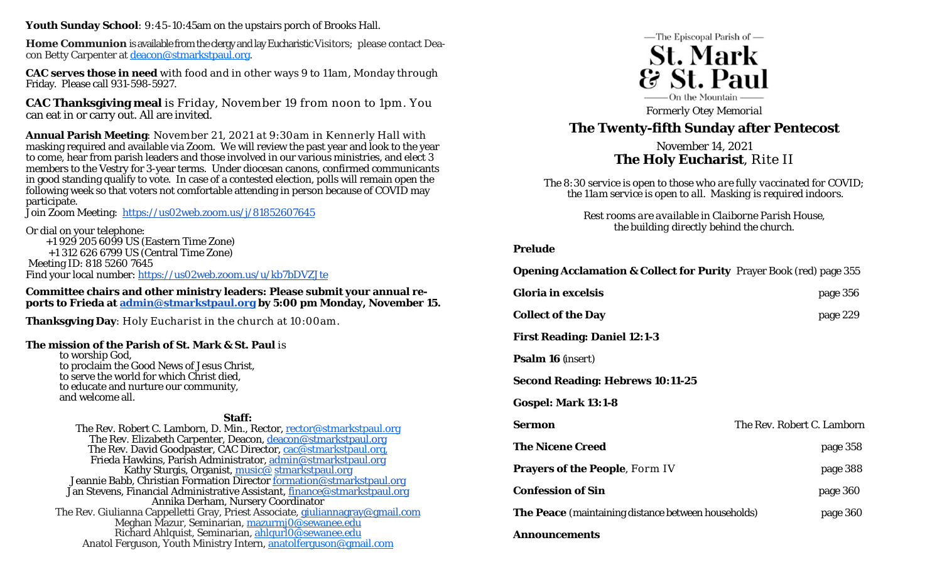**Youth Sunday School**: 9:45-10:45am on the upstairs porch of Brooks Hall.

**Home Communion** is available from the clergy and lay Eucharistic Visitors; please contact Deacon Betty Carpenter at deacon@stmarkstpaul.org.

**CAC serves those in need** with food and in other ways 9 to 11am, Monday through Friday. Please call 931-598-5927.

**CAC Thanksgiving meal** is Friday, November 19 from noon to 1pm. You can eat in or carry out. All are invited.

**Annual Parish Meeting**: November 21, 2021 at 9:30am in Kennerly Hall with masking required and available via Zoom. We will review the past year and look to the year to come, hear from parish leaders and those involved in our various ministries, and elect 3 members to the Vestry for 3-year terms. Under diocesan canons, confirmed communicants in good standing qualify to vote. In case of a contested election, polls will remain open the following week so that voters not comfortable attending in person because of COVID may participate.

Join Zoom Meeting: https://us02web.zoom.us/j/81852607645

Or dial on your telephone:

+1 929 205 6099 US (Eastern Time Zone)

+1 312 626 6799 US (Central Time Zone)

Meeting ID: 818 5260 7645

Find your local number: https://us02web.zoom.us/u/kb7bDVZJte

**Committee chairs and other ministry leaders: Please submit your annual reports to Frieda at admin@stmarkstpaul.org by 5:00 pm Monday, November 15.** 

**Thanksgving Day**: Holy Eucharist in the church at 10:00am.

## **The mission of the Parish of St. Mark & St. Paul** is

to worship God, to proclaim the Good News of Jesus Christ, to serve the world for which Christ died, to educate and nurture our community, and welcome all.

**Staff:** 

The Rev. Robert C. Lamborn, D. Min., Rector, rector@stmarkstpaul.org The Rev. Elizabeth Carpenter, Deacon, deacon@stmarkstpaul.org The Rev. David Goodpaster, CAC Director, cac@stmarkstpaul.org, Frieda Hawkins, Parish Administrator, admin@stmarkstpaul.org Kathy Sturgis, Organist, music@ stmarkstpaul.org Jeannie Babb, Christian Formation Director formation@stmarkstpaul.org Jan Stevens, Financial Administrative Assistant, finance@stmarkstpaul.org Annika Derham, Nursery Coordinator The Rev. Giulianna Cappelletti Gray, Priest Associate, giuliannagray@gmail.com Meghan Mazur, Seminarian, mazurmj0@sewanee.edu Richard Ahlquist, Seminarian, ahlqurl0@sewanee.edu Anatol Ferguson, Youth Ministry Intern, anatolferguson@gmail.com



*Formerly Otey Memorial* 

# **The Twenty-fifth Sunday after Pentecost**

November 14, 2021 **The Holy Eucharist**, Rite II

*The 8:30 service is open to those who are fully vaccinated for COVID; the 11am service is open to all. Masking is required indoors.* 

> *Rest rooms are available in Claiborne Parish House, the building directly behind the church.*

## **Prelude**

**Opening Acclamation & Collect for Purity** Prayer Book (red) page 355

| Gloria in excelsis                                         | page 356                   |
|------------------------------------------------------------|----------------------------|
| <b>Collect of the Day</b>                                  | page 229                   |
| <b>First Reading: Daniel 12:1-3</b>                        |                            |
| <b>Psalm 16</b> ( <i>insert</i> )                          |                            |
| <b>Second Reading: Hebrews 10:11-25</b>                    |                            |
| Gospel: Mark 13:1-8                                        |                            |
| <b>Sermon</b>                                              | The Rev. Robert C. Lamborn |
| <b>The Nicene Creed</b>                                    | page 358                   |
| <b>Prayers of the People, Form IV</b>                      | page 388                   |
| <b>Confession of Sin</b>                                   | page 360                   |
| <b>The Peace</b> (maintaining distance between households) | page 360                   |
| <b>Announcements</b>                                       |                            |